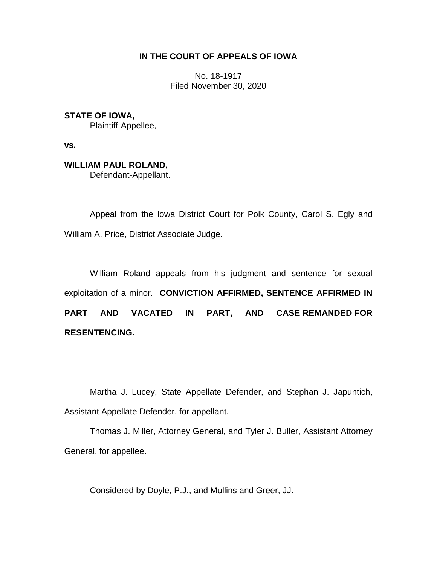### **IN THE COURT OF APPEALS OF IOWA**

No. 18-1917 Filed November 30, 2020

**STATE OF IOWA,** Plaintiff-Appellee,

**vs.**

**WILLIAM PAUL ROLAND,** Defendant-Appellant.

Appeal from the Iowa District Court for Polk County, Carol S. Egly and William A. Price, District Associate Judge.

\_\_\_\_\_\_\_\_\_\_\_\_\_\_\_\_\_\_\_\_\_\_\_\_\_\_\_\_\_\_\_\_\_\_\_\_\_\_\_\_\_\_\_\_\_\_\_\_\_\_\_\_\_\_\_\_\_\_\_\_\_\_\_\_

William Roland appeals from his judgment and sentence for sexual exploitation of a minor. **CONVICTION AFFIRMED, SENTENCE AFFIRMED IN PART AND VACATED IN PART, AND CASE REMANDED FOR RESENTENCING.**

Martha J. Lucey, State Appellate Defender, and Stephan J. Japuntich, Assistant Appellate Defender, for appellant.

Thomas J. Miller, Attorney General, and Tyler J. Buller, Assistant Attorney General, for appellee.

Considered by Doyle, P.J., and Mullins and Greer, JJ.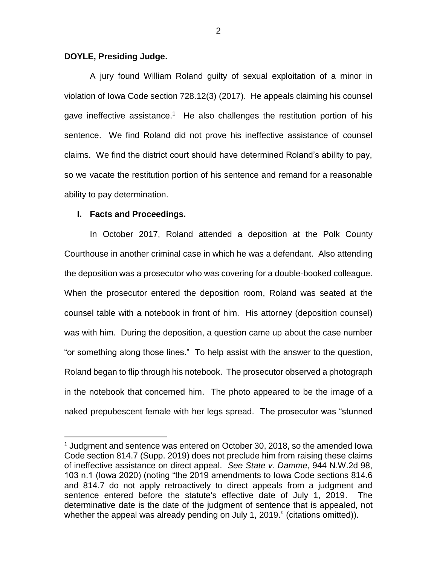#### **DOYLE, Presiding Judge.**

A jury found William Roland guilty of sexual exploitation of a minor in violation of Iowa Code section 728.12(3) (2017). He appeals claiming his counsel gave ineffective assistance.<sup>1</sup> He also challenges the restitution portion of his sentence. We find Roland did not prove his ineffective assistance of counsel claims. We find the district court should have determined Roland's ability to pay, so we vacate the restitution portion of his sentence and remand for a reasonable ability to pay determination.

#### **I. Facts and Proceedings.**

 $\overline{a}$ 

In October 2017, Roland attended a deposition at the Polk County Courthouse in another criminal case in which he was a defendant. Also attending the deposition was a prosecutor who was covering for a double-booked colleague. When the prosecutor entered the deposition room, Roland was seated at the counsel table with a notebook in front of him. His attorney (deposition counsel) was with him. During the deposition, a question came up about the case number "or something along those lines." To help assist with the answer to the question, Roland began to flip through his notebook. The prosecutor observed a photograph in the notebook that concerned him. The photo appeared to be the image of a naked prepubescent female with her legs spread. The prosecutor was "stunned

 $<sup>1</sup>$  Judgment and sentence was entered on October 30, 2018, so the amended lowa</sup> Code section 814.7 (Supp. 2019) does not preclude him from raising these claims of ineffective assistance on direct appeal. *See State v. Damme*, 944 N.W.2d 98, 103 n.1 (Iowa 2020) (noting "the 2019 amendments to Iowa Code sections 814.6 and 814.7 do not apply retroactively to direct appeals from a judgment and sentence entered before the statute's effective date of July 1, 2019. The determinative date is the date of the judgment of sentence that is appealed, not whether the appeal was already pending on July 1, 2019." (citations omitted)).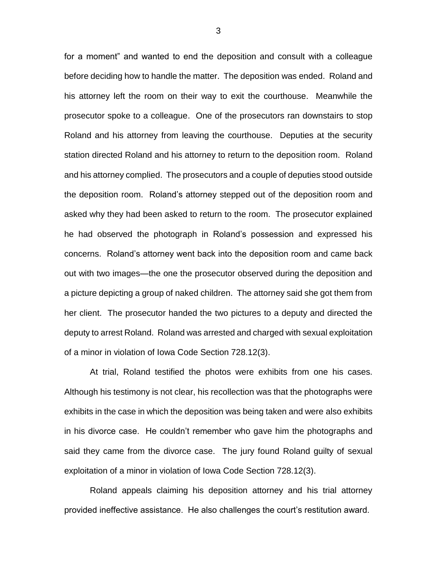for a moment" and wanted to end the deposition and consult with a colleague before deciding how to handle the matter. The deposition was ended. Roland and his attorney left the room on their way to exit the courthouse. Meanwhile the prosecutor spoke to a colleague. One of the prosecutors ran downstairs to stop Roland and his attorney from leaving the courthouse. Deputies at the security station directed Roland and his attorney to return to the deposition room. Roland and his attorney complied. The prosecutors and a couple of deputies stood outside the deposition room. Roland's attorney stepped out of the deposition room and asked why they had been asked to return to the room. The prosecutor explained he had observed the photograph in Roland's possession and expressed his concerns. Roland's attorney went back into the deposition room and came back out with two images—the one the prosecutor observed during the deposition and a picture depicting a group of naked children. The attorney said she got them from her client. The prosecutor handed the two pictures to a deputy and directed the deputy to arrest Roland. Roland was arrested and charged with sexual exploitation of a minor in violation of Iowa Code Section 728.12(3).

At trial, Roland testified the photos were exhibits from one his cases. Although his testimony is not clear, his recollection was that the photographs were exhibits in the case in which the deposition was being taken and were also exhibits in his divorce case. He couldn't remember who gave him the photographs and said they came from the divorce case. The jury found Roland guilty of sexual exploitation of a minor in violation of Iowa Code Section 728.12(3).

Roland appeals claiming his deposition attorney and his trial attorney provided ineffective assistance. He also challenges the court's restitution award.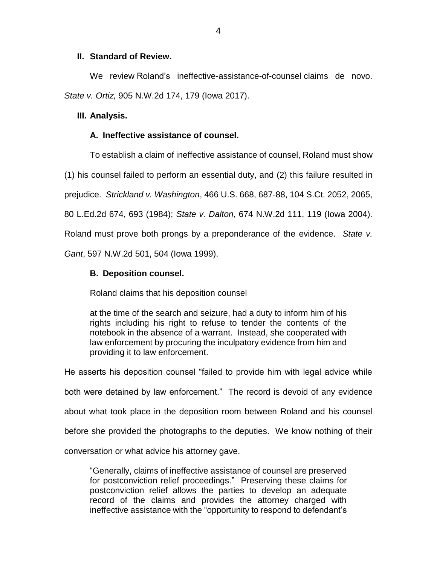### **II. Standard of Review.**

We review Roland's ineffective-assistance-of-counsel claims de novo. *State v. Ortiz,* 905 N.W.2d 174, 179 (Iowa 2017).

### **III. Analysis.**

## **A. Ineffective assistance of counsel.**

To establish a claim of ineffective assistance of counsel, Roland must show

(1) his counsel failed to perform an essential duty, and (2) this failure resulted in

prejudice. *Strickland v. Washington*, 466 U.S. 668, 687-88, 104 S.Ct. 2052, 2065,

80 L.Ed.2d 674, 693 (1984); *State v. Dalton*, 674 N.W.2d 111, 119 (Iowa 2004).

Roland must prove both prongs by a preponderance of the evidence. *State v.* 

*Gant*, 597 N.W.2d 501, 504 (Iowa 1999).

## **B. Deposition counsel.**

Roland claims that his deposition counsel

at the time of the search and seizure, had a duty to inform him of his rights including his right to refuse to tender the contents of the notebook in the absence of a warrant. Instead, she cooperated with law enforcement by procuring the inculpatory evidence from him and providing it to law enforcement.

He asserts his deposition counsel "failed to provide him with legal advice while both were detained by law enforcement." The record is devoid of any evidence about what took place in the deposition room between Roland and his counsel before she provided the photographs to the deputies. We know nothing of their conversation or what advice his attorney gave.

ineffective assistance with the "opportunity to respond to defendant's

"Generally, claims of ineffective assistance of counsel are preserved for postconviction relief proceedings." Preserving these claims for postconviction relief allows the parties to develop an adequate record of the claims and provides the attorney charged with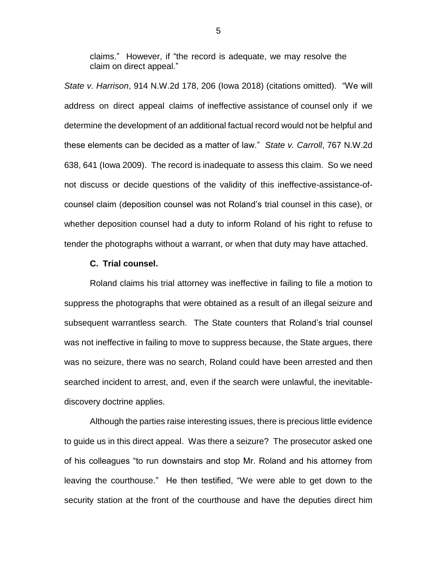claims." However, if "the record is adequate, we may resolve the claim on direct appeal."

*State v. Harrison*, 914 N.W.2d 178, 206 (Iowa 2018) (citations omitted). "We will address on direct appeal claims of ineffective assistance of counsel only if we determine the development of an additional factual record would not be helpful and these elements can be decided as a matter of law." *State v. Carroll*, 767 N.W.2d 638, 641 (Iowa 2009). The record is inadequate to assess this claim. So we need not discuss or decide questions of the validity of this ineffective-assistance-ofcounsel claim (deposition counsel was not Roland's trial counsel in this case), or whether deposition counsel had a duty to inform Roland of his right to refuse to tender the photographs without a warrant, or when that duty may have attached.

#### **C. Trial counsel.**

Roland claims his trial attorney was ineffective in failing to file a motion to suppress the photographs that were obtained as a result of an illegal seizure and subsequent warrantless search. The State counters that Roland's trial counsel was not ineffective in failing to move to suppress because, the State argues, there was no seizure, there was no search, Roland could have been arrested and then searched incident to arrest, and, even if the search were unlawful, the inevitablediscovery doctrine applies.

Although the parties raise interesting issues, there is precious little evidence to guide us in this direct appeal. Was there a seizure? The prosecutor asked one of his colleagues "to run downstairs and stop Mr. Roland and his attorney from leaving the courthouse." He then testified, "We were able to get down to the security station at the front of the courthouse and have the deputies direct him

5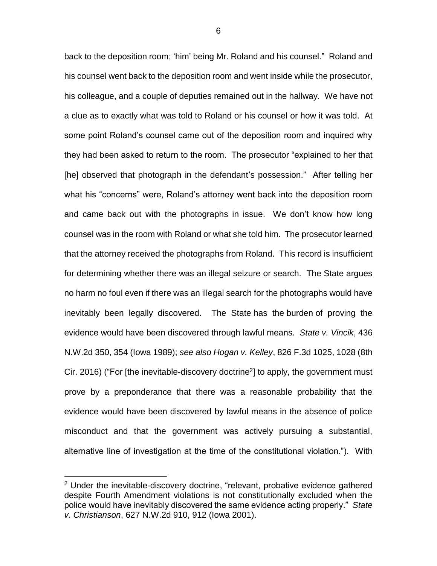back to the deposition room; 'him' being Mr. Roland and his counsel." Roland and his counsel went back to the deposition room and went inside while the prosecutor, his colleague, and a couple of deputies remained out in the hallway. We have not a clue as to exactly what was told to Roland or his counsel or how it was told. At some point Roland's counsel came out of the deposition room and inquired why they had been asked to return to the room. The prosecutor "explained to her that [he] observed that photograph in the defendant's possession." After telling her what his "concerns" were, Roland's attorney went back into the deposition room and came back out with the photographs in issue. We don't know how long counsel was in the room with Roland or what she told him. The prosecutor learned that the attorney received the photographs from Roland. This record is insufficient for determining whether there was an illegal seizure or search. The State argues no harm no foul even if there was an illegal search for the photographs would have inevitably been legally discovered. The State has the burden of proving the evidence would have been discovered through lawful means. *State v. Vincik*, 436 N.W.2d 350, 354 (Iowa 1989); *see also Hogan v. Kelley*, 826 F.3d 1025, 1028 (8th Cir. 2016) ("For [the inevitable-discovery doctrine<sup>2</sup>] to apply, the government must prove by a preponderance that there was a reasonable probability that the evidence would have been discovered by lawful means in the absence of police misconduct and that the government was actively pursuing a substantial, alternative line of investigation at the time of the constitutional violation."). With

 $\overline{a}$ 

<sup>&</sup>lt;sup>2</sup> Under the inevitable-discovery doctrine, "relevant, probative evidence gathered despite Fourth Amendment violations is not constitutionally excluded when the police would have inevitably discovered the same evidence acting properly." *State v. Christianson*, 627 N.W.2d 910, 912 (Iowa 2001).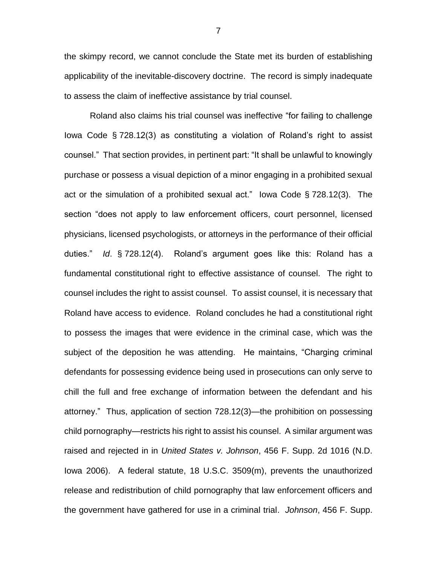the skimpy record, we cannot conclude the State met its burden of establishing applicability of the inevitable-discovery doctrine. The record is simply inadequate to assess the claim of ineffective assistance by trial counsel.

Roland also claims his trial counsel was ineffective "for failing to challenge Iowa Code § 728.12(3) as constituting a violation of Roland's right to assist counsel." That section provides, in pertinent part: "It shall be unlawful to knowingly purchase or possess a visual depiction of a minor engaging in a prohibited sexual act or the simulation of a prohibited sexual act." Iowa Code § 728.12(3). The section "does not apply to law enforcement officers, court personnel, licensed physicians, licensed psychologists, or attorneys in the performance of their official duties." *Id*. § 728.12(4). Roland's argument goes like this: Roland has a fundamental constitutional right to effective assistance of counsel. The right to counsel includes the right to assist counsel. To assist counsel, it is necessary that Roland have access to evidence. Roland concludes he had a constitutional right to possess the images that were evidence in the criminal case, which was the subject of the deposition he was attending. He maintains, "Charging criminal defendants for possessing evidence being used in prosecutions can only serve to chill the full and free exchange of information between the defendant and his attorney." Thus, application of section 728.12(3)—the prohibition on possessing child pornography—restricts his right to assist his counsel. A similar argument was raised and rejected in in *United States v. Johnson*, 456 F. Supp. 2d 1016 (N.D. Iowa 2006). A federal statute, 18 U.S.C. 3509(m), prevents the unauthorized release and redistribution of child pornography that law enforcement officers and the government have gathered for use in a criminal trial. *Johnson*, 456 F. Supp.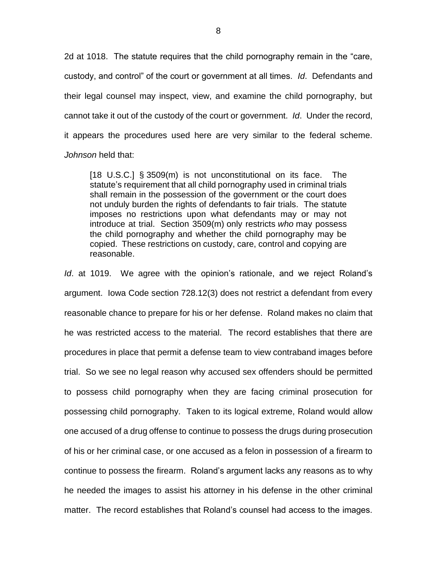2d at 1018. The statute requires that the child pornography remain in the "care, custody, and control" of the court or government at all times. *Id*. Defendants and their legal counsel may inspect, view, and examine the child pornography, but cannot take it out of the custody of the court or government. *Id*. Under the record, it appears the procedures used here are very similar to the federal scheme. *Johnson* held that:

[18 U.S.C.] § 3509(m) is not unconstitutional on its face. The statute's requirement that all child pornography used in criminal trials shall remain in the possession of the government or the court does not unduly burden the rights of defendants to fair trials. The statute imposes no restrictions upon what defendants may or may not introduce at trial. Section 3509(m) only restricts *who* may possess the child pornography and whether the child pornography may be copied. These restrictions on custody, care, control and copying are reasonable.

*Id*. at 1019. We agree with the opinion's rationale, and we reject Roland's argument. Iowa Code section 728.12(3) does not restrict a defendant from every reasonable chance to prepare for his or her defense. Roland makes no claim that he was restricted access to the material. The record establishes that there are procedures in place that permit a defense team to view contraband images before trial. So we see no legal reason why accused sex offenders should be permitted to possess child pornography when they are facing criminal prosecution for possessing child pornography. Taken to its logical extreme, Roland would allow one accused of a drug offense to continue to possess the drugs during prosecution of his or her criminal case, or one accused as a felon in possession of a firearm to continue to possess the firearm. Roland's argument lacks any reasons as to why he needed the images to assist his attorney in his defense in the other criminal matter. The record establishes that Roland's counsel had access to the images.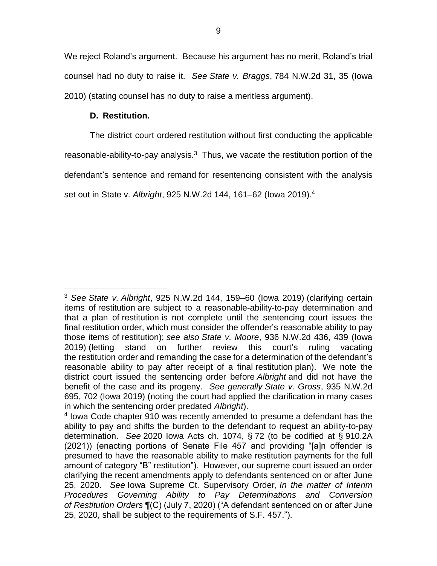We reject Roland's argument. Because his argument has no merit, Roland's trial counsel had no duty to raise it. *See State v. Braggs*, 784 N.W.2d 31, 35 (Iowa 2010) (stating counsel has no duty to raise a meritless argument).

## **D. Restitution.**

The district court ordered restitution without first conducting the applicable reasonable-ability-to-pay analysis. $3$  Thus, we vacate the restitution portion of the defendant's sentence and remand for resentencing consistent with the analysis set out in State v. *Albright*, 925 N.W.2d 144, 161–62 (Iowa 2019). 4

 $\overline{a}$ <sup>3</sup> *See State v. Albright*, 925 N.W.2d 144, 159–60 (Iowa 2019) (clarifying certain items of restitution are subject to a reasonable-ability-to-pay determination and that a plan of restitution is not complete until the sentencing court issues the final restitution order, which must consider the offender's reasonable ability to pay those items of restitution); *see also State v. Moore*, 936 N.W.2d 436, 439 (Iowa 2019) (letting stand on further review this court's ruling vacating the restitution order and remanding the case for a determination of the defendant's reasonable ability to pay after receipt of a final restitution plan). We note the district court issued the sentencing order before *Albright* and did not have the benefit of the case and its progeny. *See generally State v. Gross*, 935 N.W.2d 695, 702 (Iowa 2019) (noting the court had applied the clarification in many cases in which the sentencing order predated *Albright*).

<sup>4</sup> Iowa Code chapter 910 was recently amended to presume a defendant has the ability to pay and shifts the burden to the defendant to request an ability-to-pay determination. *See* 2020 Iowa Acts ch. 1074, § 72 (to be codified at § 910.2A (2021)) (enacting portions of Senate File 457 and providing "[a]n offender is presumed to have the reasonable ability to make restitution payments for the full amount of category "B" restitution"). However, our supreme court issued an order clarifying the recent amendments apply to defendants sentenced on or after June 25, 2020. *See* Iowa Supreme Ct. Supervisory Order, *In the matter of Interim Procedures Governing Ability to Pay Determinations and Conversion of Restitution Orders* ¶(C) (July 7, 2020) ("A defendant sentenced on or after June 25, 2020, shall be subject to the requirements of S.F. 457.").